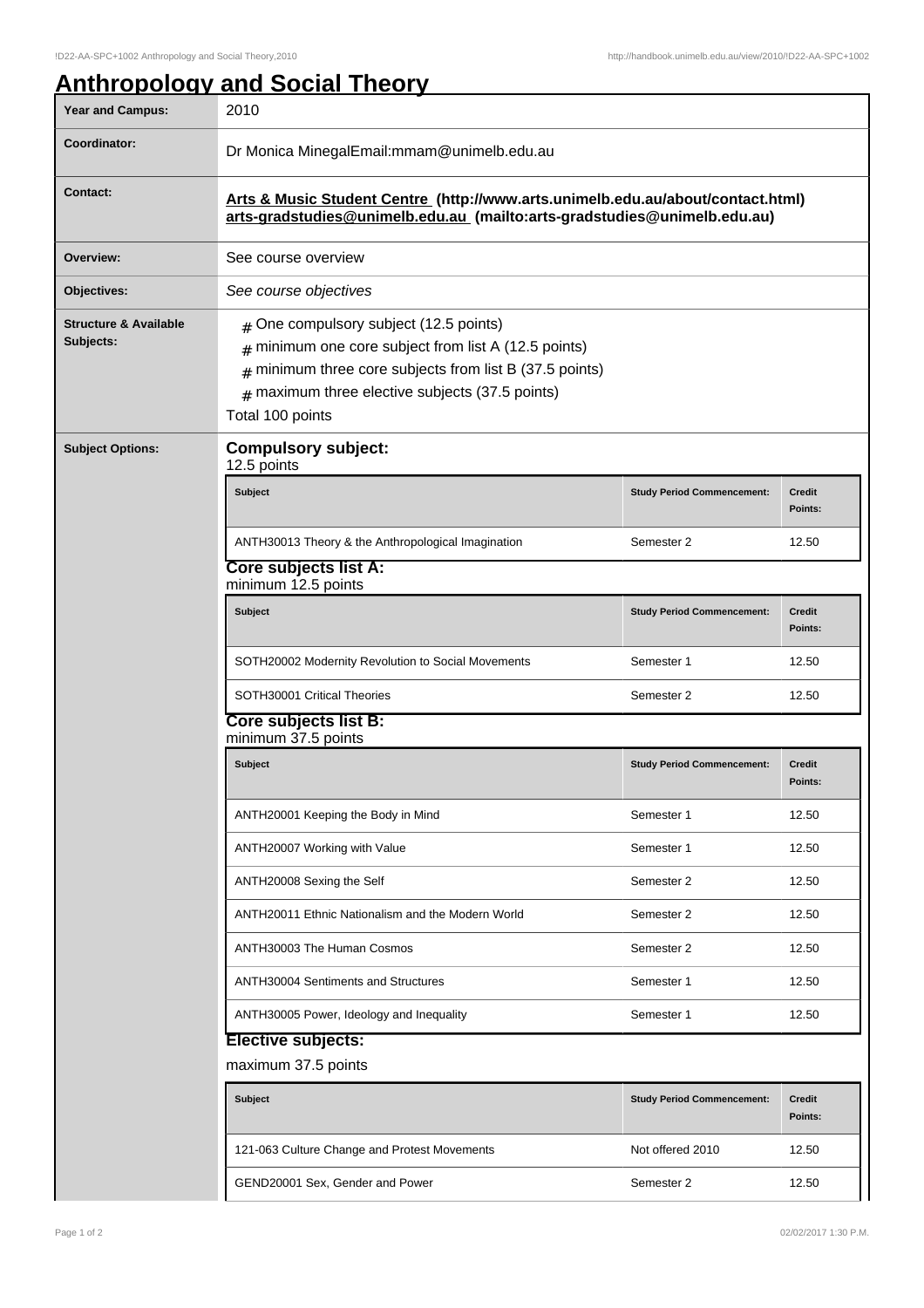## **Anthropology and Social Theory**

| Year and Campus:                              | 2010                                                                                                                                                                                                                                       |                                   |                          |  |  |
|-----------------------------------------------|--------------------------------------------------------------------------------------------------------------------------------------------------------------------------------------------------------------------------------------------|-----------------------------------|--------------------------|--|--|
| Coordinator:                                  | Dr Monica MinegalEmail:mmam@unimelb.edu.au                                                                                                                                                                                                 |                                   |                          |  |  |
| <b>Contact:</b>                               | Arts & Music Student Centre (http://www.arts.unimelb.edu.au/about/contact.html)<br>arts-gradstudies@unimelb.edu.au (mailto:arts-gradstudies@unimelb.edu.au)                                                                                |                                   |                          |  |  |
| Overview:                                     | See course overview                                                                                                                                                                                                                        |                                   |                          |  |  |
| Objectives:                                   | See course objectives                                                                                                                                                                                                                      |                                   |                          |  |  |
| <b>Structure &amp; Available</b><br>Subjects: | $#$ One compulsory subject (12.5 points)<br>minimum one core subject from list A (12.5 points)<br>#<br>minimum three core subjects from list B (37.5 points)<br>#<br>$#$ maximum three elective subjects (37.5 points)<br>Total 100 points |                                   |                          |  |  |
| <b>Subject Options:</b>                       | <b>Compulsory subject:</b><br>12.5 points                                                                                                                                                                                                  |                                   |                          |  |  |
|                                               | <b>Subject</b>                                                                                                                                                                                                                             | <b>Study Period Commencement:</b> | <b>Credit</b><br>Points: |  |  |
|                                               | ANTH30013 Theory & the Anthropological Imagination                                                                                                                                                                                         | Semester 2                        | 12.50                    |  |  |
|                                               | <b>Core subjects list A:</b><br>minimum 12.5 points                                                                                                                                                                                        |                                   |                          |  |  |
|                                               | <b>Subject</b>                                                                                                                                                                                                                             | <b>Study Period Commencement:</b> | <b>Credit</b><br>Points: |  |  |
|                                               | SOTH20002 Modernity Revolution to Social Movements                                                                                                                                                                                         | Semester 1                        | 12.50                    |  |  |
|                                               | SOTH30001 Critical Theories                                                                                                                                                                                                                | Semester 2                        | 12.50                    |  |  |
|                                               | Core subjects list B:<br>minimum 37.5 points                                                                                                                                                                                               |                                   |                          |  |  |
|                                               | <b>Subject</b>                                                                                                                                                                                                                             | <b>Study Period Commencement:</b> | <b>Credit</b><br>Points: |  |  |
|                                               | ANTH20001 Keeping the Body in Mind                                                                                                                                                                                                         | Semester 1                        | 12.50                    |  |  |
|                                               | ANTH20007 Working with Value                                                                                                                                                                                                               | Semester 1                        | 12.50                    |  |  |
|                                               | ANTH20008 Sexing the Self                                                                                                                                                                                                                  | Semester 2                        | 12.50                    |  |  |
|                                               | ANTH20011 Ethnic Nationalism and the Modern World                                                                                                                                                                                          | Semester 2                        | 12.50                    |  |  |
|                                               | ANTH30003 The Human Cosmos                                                                                                                                                                                                                 | Semester 2                        | 12.50                    |  |  |
|                                               | <b>ANTH30004 Sentiments and Structures</b>                                                                                                                                                                                                 | Semester 1                        | 12.50                    |  |  |
|                                               | ANTH30005 Power, Ideology and Inequality                                                                                                                                                                                                   | Semester 1                        | 12.50                    |  |  |
|                                               | <b>Elective subjects:</b><br>maximum 37.5 points                                                                                                                                                                                           |                                   |                          |  |  |
|                                               | Subject                                                                                                                                                                                                                                    | <b>Study Period Commencement:</b> | Credit<br>Points:        |  |  |
|                                               | 121-063 Culture Change and Protest Movements                                                                                                                                                                                               | Not offered 2010                  | 12.50                    |  |  |
|                                               | GEND20001 Sex, Gender and Power                                                                                                                                                                                                            | Semester 2                        | 12.50                    |  |  |